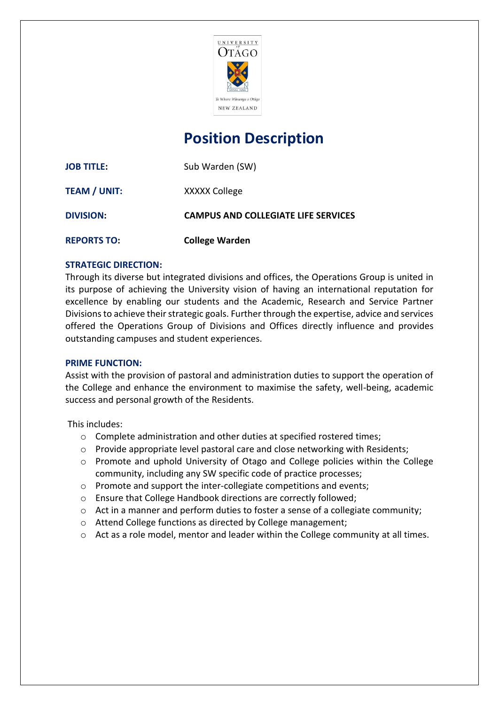

# **Position Description**

| <b>JOB TITLE:</b>   | Sub Warden (SW)                            |
|---------------------|--------------------------------------------|
| <b>TEAM / UNIT:</b> | XXXXX College                              |
| <b>DIVISION:</b>    | <b>CAMPUS AND COLLEGIATE LIFE SERVICES</b> |
| <b>REPORTS TO:</b>  | <b>College Warden</b>                      |

# **STRATEGIC DIRECTION:**

Through its diverse but integrated divisions and offices, the Operations Group is united in its purpose of achieving the University vision of having an international reputation for excellence by enabling our students and the Academic, Research and Service Partner Divisions to achieve their strategic goals. Further through the expertise, advice and services offered the Operations Group of Divisions and Offices directly influence and provides outstanding campuses and student experiences.

# **PRIME FUNCTION:**

Assist with the provision of pastoral and administration duties to support the operation of the College and enhance the environment to maximise the safety, well-being, academic success and personal growth of the Residents.

This includes:

- o Complete administration and other duties at specified rostered times;
- $\circ$  Provide appropriate level pastoral care and close networking with Residents;
- o Promote and uphold University of Otago and College policies within the College community, including any SW specific code of practice processes;
- o Promote and support the inter-collegiate competitions and events;
- o Ensure that College Handbook directions are correctly followed;
- o Act in a manner and perform duties to foster a sense of a collegiate community;
- o Attend College functions as directed by College management;
- o Act as a role model, mentor and leader within the College community at all times.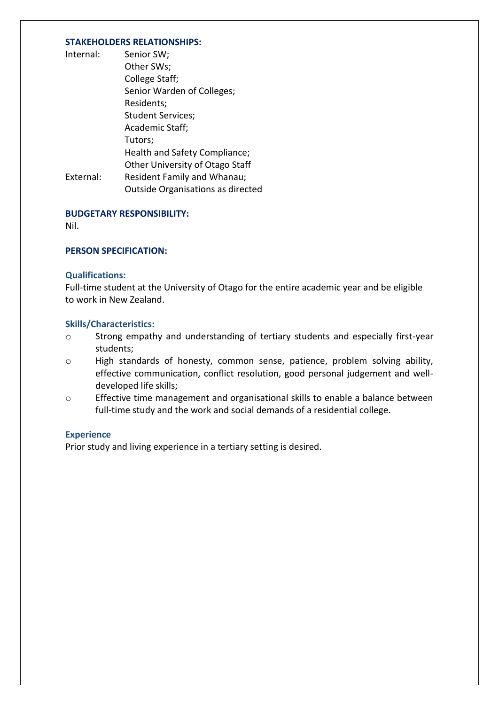# **STAKEHOLDERS RELATIONSHIPS:**

| Internal: | Senior SW;                               |
|-----------|------------------------------------------|
|           | Other SWs;                               |
|           | College Staff;                           |
|           | Senior Warden of Colleges;               |
|           | Residents;                               |
|           | <b>Student Services;</b>                 |
|           | Academic Staff;                          |
|           | Tutors;                                  |
|           | Health and Safety Compliance;            |
|           | Other University of Otago Staff          |
| External: | Resident Family and Whanau;              |
|           | <b>Outside Organisations as directed</b> |

**BUDGETARY RESPONSIBILITY:**

Nil.

# **PERSON SPECIFICATION:**

#### **Qualifications:**

Full-time student at the University of Otago for the entire academic year and be eligible to work in New Zealand.

# **Skills/Characteristics:**

- o Strong empathy and understanding of tertiary students and especially first-year students;
- o High standards of honesty, common sense, patience, problem solving ability, effective communication, conflict resolution, good personal judgement and welldeveloped life skills;
- o Effective time management and organisational skills to enable a balance between full-time study and the work and social demands of a residential college.

# **Experience**

Prior study and living experience in a tertiary setting is desired.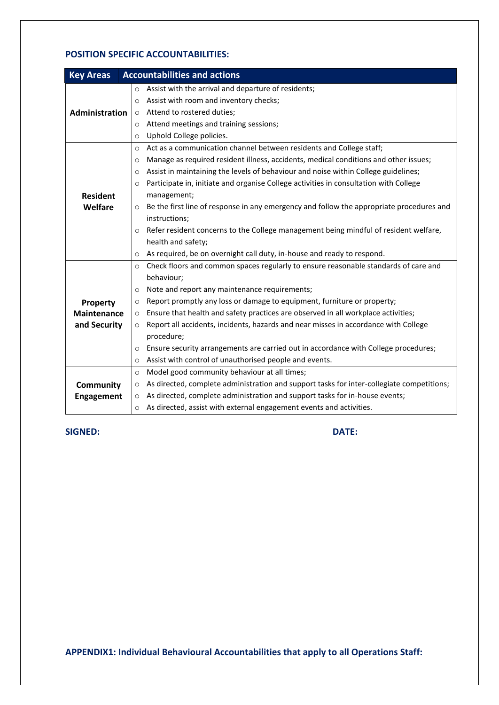# **POSITION SPECIFIC ACCOUNTABILITIES:**

| <b>Key Areas</b>   | <b>Accountabilities and actions</b>                                                                  |
|--------------------|------------------------------------------------------------------------------------------------------|
|                    | Assist with the arrival and departure of residents;<br>$\circ$                                       |
|                    | Assist with room and inventory checks;<br>$\circ$                                                    |
| Administration     | Attend to rostered duties;<br>$\circ$                                                                |
|                    | o Attend meetings and training sessions;                                                             |
|                    | Uphold College policies.<br>O                                                                        |
|                    | Act as a communication channel between residents and College staff;<br>$\circ$                       |
|                    | Manage as required resident illness, accidents, medical conditions and other issues;<br>O            |
|                    | Assist in maintaining the levels of behaviour and noise within College guidelines;<br>O              |
|                    | Participate in, initiate and organise College activities in consultation with College<br>O           |
| <b>Resident</b>    | management;                                                                                          |
| Welfare            | $\circ$ Be the first line of response in any emergency and follow the appropriate procedures and     |
|                    | instructions;                                                                                        |
|                    | Refer resident concerns to the College management being mindful of resident welfare,<br>$\circ$      |
|                    | health and safety;                                                                                   |
|                    | As required, be on overnight call duty, in-house and ready to respond.<br>O                          |
|                    | Check floors and common spaces regularly to ensure reasonable standards of care and<br>O             |
|                    | behaviour;                                                                                           |
|                    | Note and report any maintenance requirements;<br>$\circ$                                             |
| Property           | Report promptly any loss or damage to equipment, furniture or property;<br>$\circ$                   |
| <b>Maintenance</b> | Ensure that health and safety practices are observed in all workplace activities;<br>$\circ$         |
| and Security       | Report all accidents, incidents, hazards and near misses in accordance with College<br>$\circ$       |
|                    | procedure;                                                                                           |
|                    | Ensure security arrangements are carried out in accordance with College procedures;<br>$\circ$       |
|                    | Assist with control of unauthorised people and events.<br>$\circ$                                    |
|                    | Model good community behaviour at all times;<br>$\circ$                                              |
| <b>Community</b>   | As directed, complete administration and support tasks for inter-collegiate competitions;<br>$\circ$ |
| <b>Engagement</b>  | As directed, complete administration and support tasks for in-house events;<br>$\circ$               |
|                    | As directed, assist with external engagement events and activities.<br>O                             |

# **SIGNED: DATE:**

**APPENDIX1: Individual Behavioural Accountabilities that apply to all Operations Staff:**